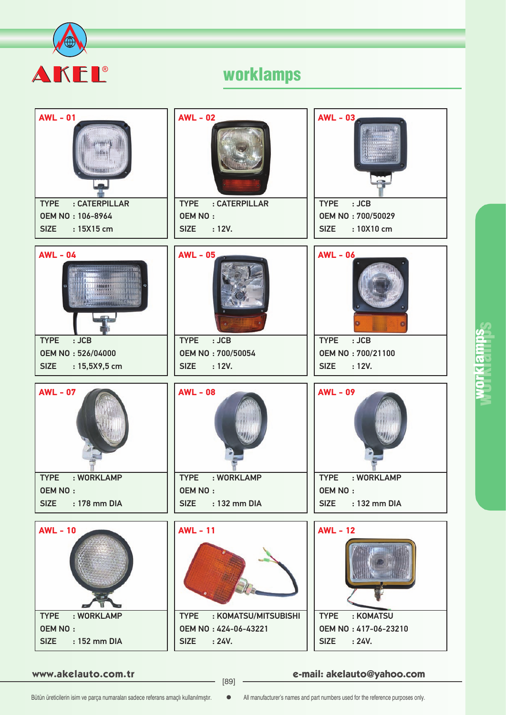



**www.akelauto.com.tr e-mail: akelauto@yahoo.com** [89]

prklamps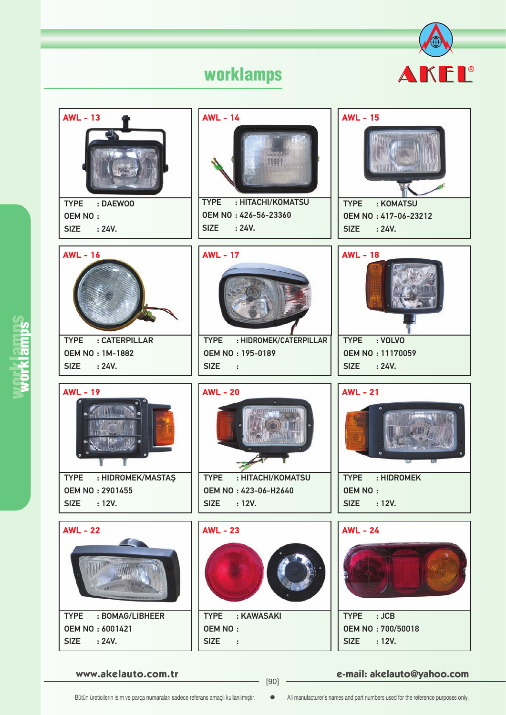

**www.akelauto.com.tr e-mail: akelauto@yahoo.com** [90]

Bütün üreticilerin isim ve parça numaraları sadece referans amaçlı kullanılmıştır.  $\bullet$  All manufacturer's names and part numbers used for the reference purposes only.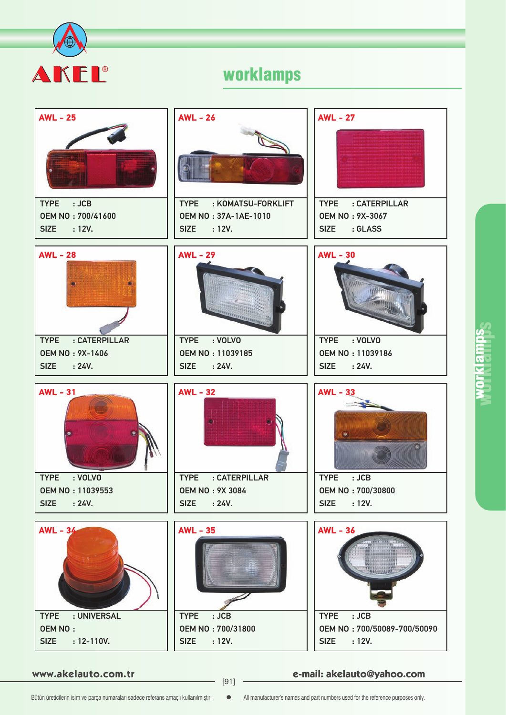



**www.akelauto.com.tr e-mail: akelauto@yahoo.com** [91]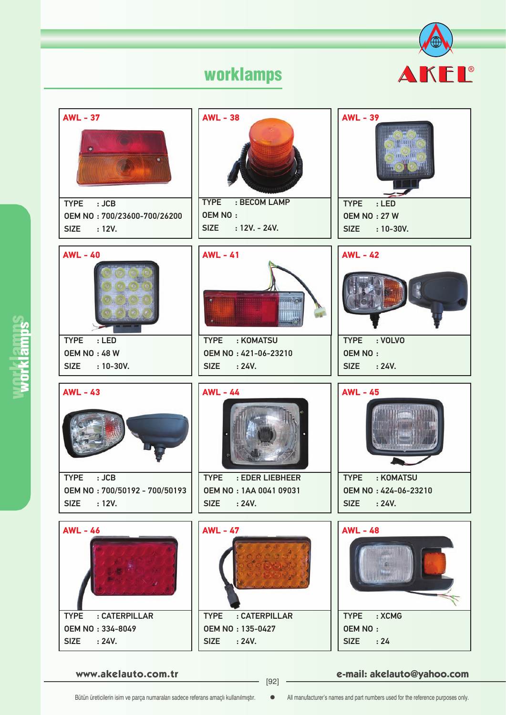



**www.akelauto.com.tr e-mail: akelauto@yahoo.com** [92]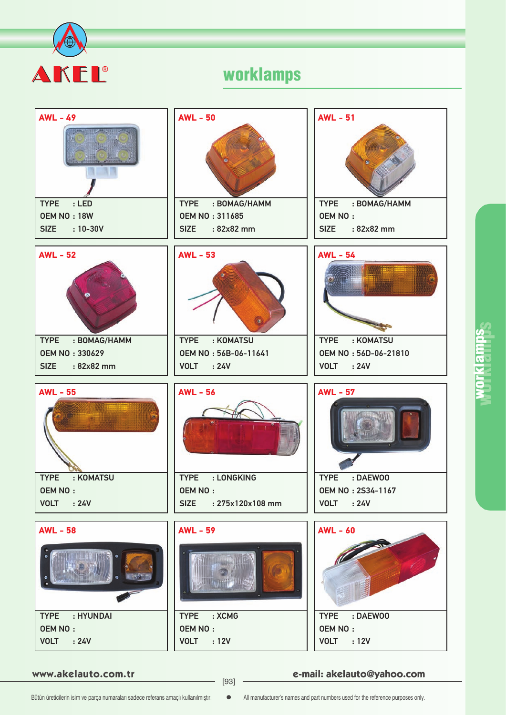



**www.akelauto.com.tr e-mail: akelauto@yahoo.com** [93]

# prklamps